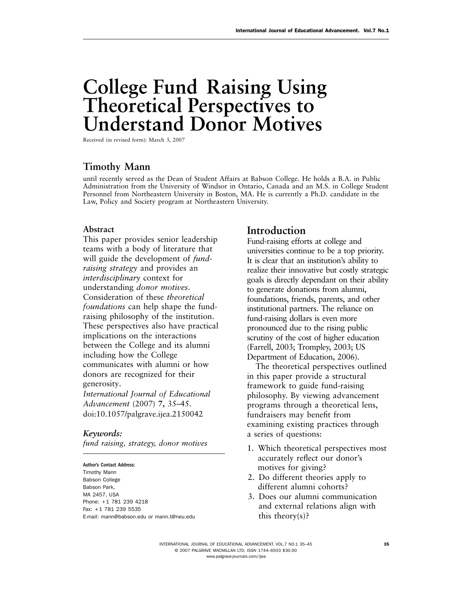# **College Fund Raising Using Theoretical Perspectives to Understand Donor Motives**

Received (in revised form): March 3, 2007

## **Timothy Mann**

until recently served as the Dean of Student Affairs at Babson College. He holds a B.A. in Public Administration from the University of Windsor in Ontario, Canada and an M.S. in College Student Personnel from Northeastern University in Boston, MA. He is currently a Ph.D. candidate in the Law, Policy and Society program at Northeastern University.

#### **Abstract**

This paper provides senior leadership teams with a body of literature that will guide the development of *fundraising strategy* and provides an *interdisciplinary* context for understanding *donor motives*. Consideration of these *theoretical foundations* can help shape the fundraising philosophy of the institution. These perspectives also have practical implications on the interactions between the College and its alumni including how the College communicates with alumni or how donors are recognized for their generosity.

*International Journal of Educational Advancement* (2007) **7,** 35 – 45. doi: 10.1057/palgrave.ijea.2150042

#### *Keywords:*

*fund raising, strategy, donor motives* 

#### **Author's Contact Address:**

Timothy Mann Babson College Babson Park, MA 2457, USA Phone: + 1 781 239 4218 Fax: + 1 781 239 5535 E-mail: mann@babson.edu or mann.t@neu.edu

## **Introduction**

Fund-raising efforts at college and universities continue to be a top priority. It is clear that an institution's ability to realize their innovative but costly strategic goals is directly dependant on their ability to generate donations from alumni, foundations, friends, parents, and other institutional partners. The reliance on fund-raising dollars is even more pronounced due to the rising public scrutiny of the cost of higher education (Farrell, 2003; Trompley, 2003; US Department of Education, 2006).

The theoretical perspectives outlined in this paper provide a structural framework to guide fund-raising philosophy. By viewing advancement programs through a theoretical lens, fundraisers may benefit from examining existing practices through a series of questions:

- 1. Which theoretical perspectives most accurately reflect our donor's motives for giving?
- 2. Do different theories apply to different alumni cohorts?
- 3. Does our alumni communication and external relations align with this theory(s)?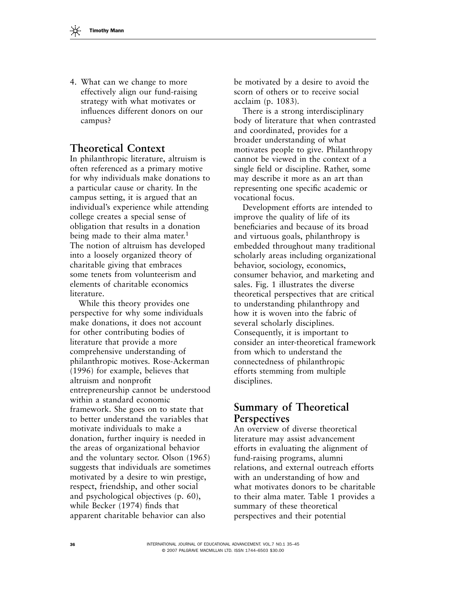4. What can we change to more effectively align our fund-raising strategy with what motivates or influences different donors on our campus?

# **Theoretical Context**

In philanthropic literature, altruism is often referenced as a primary motive for why individuals make donations to a particular cause or charity. In the campus setting, it is argued that an individual's experience while attending college creates a special sense of obligation that results in a donation being made to their alma mater.<sup>1</sup> The notion of altruism has developed into a loosely organized theory of charitable giving that embraces some tenets from volunteerism and elements of charitable economics literature.

While this theory provides one perspective for why some individuals make donations, it does not account for other contributing bodies of literature that provide a more comprehensive understanding of philanthropic motives. Rose-Ackerman  $(1996)$  for example, believes that altruism and nonprofit entrepreneurship cannot be understood within a standard economic framework. She goes on to state that to better understand the variables that motivate individuals to make a donation, further inquiry is needed in the areas of organizational behavior and the voluntary sector. Olson (1965) suggests that individuals are sometimes motivated by a desire to win prestige, respect, friendship, and other social and psychological objectives (p. 60), while Becker (1974) finds that apparent charitable behavior can also

be motivated by a desire to avoid the scorn of others or to receive social acclaim (p. 1083).

There is a strong interdisciplinary body of literature that when contrasted and coordinated, provides for a broader understanding of what motivates people to give. Philanthropy cannot be viewed in the context of a single field or discipline. Rather, some may describe it more as an art than representing one specific academic or vocational focus.

Development efforts are intended to improve the quality of life of its beneficiaries and because of its broad and virtuous goals, philanthropy is embedded throughout many traditional scholarly areas including organizational behavior, sociology, economics, consumer behavior, and marketing and sales. Fig. 1 illustrates the diverse theoretical perspectives that are critical to understanding philanthropy and how it is woven into the fabric of several scholarly disciplines. Consequently, it is important to consider an inter-theoretical framework from which to understand the connectedness of philanthropic efforts stemming from multiple disciplines.

# **Summary of Theoretical Perspectives**

An overview of diverse theoretical literature may assist advancement efforts in evaluating the alignment of fund-raising programs, alumni relations, and external outreach efforts with an understanding of how and what motivates donors to be charitable to their alma mater. Table 1 provides a summary of these theoretical perspectives and their potential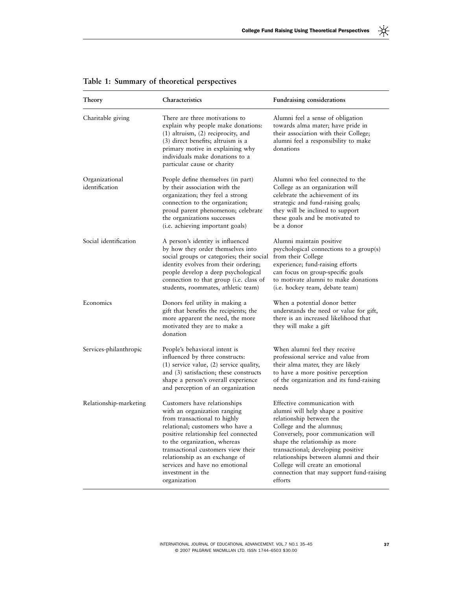$\,$   $\,$   $\,$ 

| Theory                           | Characteristics                                                                                                                                                                                                                                                                                                                                         | <b>Fundraising considerations</b>                                                                                                                                                                                                                                                                                                                                             |
|----------------------------------|---------------------------------------------------------------------------------------------------------------------------------------------------------------------------------------------------------------------------------------------------------------------------------------------------------------------------------------------------------|-------------------------------------------------------------------------------------------------------------------------------------------------------------------------------------------------------------------------------------------------------------------------------------------------------------------------------------------------------------------------------|
| Charitable giving                | There are three motivations to<br>explain why people make donations:<br>(1) altruism, (2) reciprocity, and<br>(3) direct benefits; altruism is a<br>primary motive in explaining why<br>individuals make donations to a<br>particular cause or charity                                                                                                  | Alumni feel a sense of obligation<br>towards alma mater; have pride in<br>their association with their College;<br>alumni feel a responsibility to make<br>donations                                                                                                                                                                                                          |
| Organizational<br>identification | People define themselves (in part)<br>by their association with the<br>organization; they feel a strong<br>connection to the organization;<br>proud parent phenomenon; celebrate<br>the organizations successes<br>(i.e. achieving important goals)                                                                                                     | Alumni who feel connected to the<br>College as an organization will<br>celebrate the achievement of its<br>strategic and fund-raising goals;<br>they will be inclined to support<br>these goals and be motivated to<br>be a donor                                                                                                                                             |
| Social identification            | A person's identity is influenced<br>by how they order themselves into<br>social groups or categories; their social<br>identity evolves from their ordering;<br>people develop a deep psychological<br>connection to that group (i.e. class of<br>students, roommates, athletic team)                                                                   | Alumni maintain positive<br>psychological connections to a group(s)<br>from their College<br>experience; fund-raising efforts<br>can focus on group-specific goals<br>to motivate alumni to make donations<br>(i.e. hockey team, debate team)                                                                                                                                 |
| Economics                        | Donors feel utility in making a<br>gift that benefits the recipients; the<br>more apparent the need, the more<br>motivated they are to make a<br>donation                                                                                                                                                                                               | When a potential donor better<br>understands the need or value for gift,<br>there is an increased likelihood that<br>they will make a gift                                                                                                                                                                                                                                    |
| Services-philanthropic           | People's behavioral intent is<br>influenced by three constructs:<br>$(1)$ service value, $(2)$ service quality,<br>and (3) satisfaction; these constructs<br>shape a person's overall experience<br>and perception of an organization                                                                                                                   | When alumni feel they receive<br>professional service and value from<br>their alma mater, they are likely<br>to have a more positive perception<br>of the organization and its fund-raising<br>needs                                                                                                                                                                          |
| Relationship-marketing           | Customers have relationships<br>with an organization ranging<br>from transactional to highly<br>relational; customers who have a<br>positive relationship feel connected<br>to the organization, whereas<br>transactional customers view their<br>relationship as an exchange of<br>services and have no emotional<br>investment in the<br>organization | Effective communication with<br>alumni will help shape a positive<br>relationship between the<br>College and the alumnus;<br>Conversely, poor communication will<br>shape the relationship as more<br>transactional; developing positive<br>relationships between alumni and their<br>College will create an emotional<br>connection that may support fund-raising<br>efforts |

Table 1: Summary of theoretical perspectives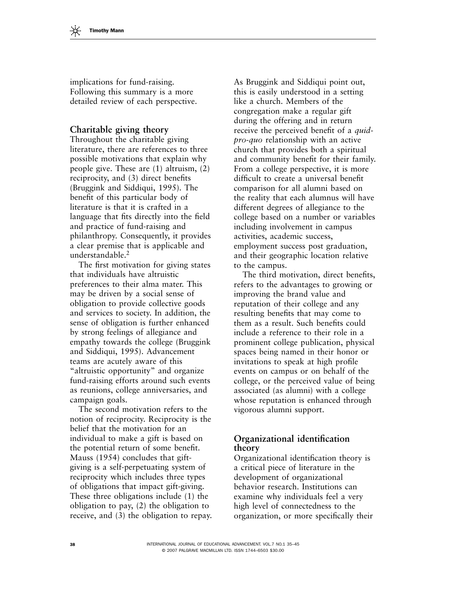implications for fund-raising. Following this summary is a more detailed review of each perspective.

#### **Charitable giving theory**

Throughout the charitable giving literature, there are references to three possible motivations that explain why people give. These are (1) altruism, (2) reciprocity, and (3) direct benefits (Bruggink and Siddiqui, 1995). The benefit of this particular body of literature is that it is crafted in a language that fits directly into the field and practice of fund-raising and philanthropy. Consequently, it provides a clear premise that is applicable and understandable.<sup>2</sup>

The first motivation for giving states that individuals have altruistic preferences to their alma mater. This may be driven by a social sense of obligation to provide collective goods and services to society. In addition, the sense of obligation is further enhanced by strong feelings of allegiance and empathy towards the college (Bruggink) and Siddiqui, 1995). Advancement teams are acutely aware of this " altruistic opportunity" and organize fund-raising efforts around such events as reunions, college anniversaries, and campaign goals.

The second motivation refers to the notion of reciprocity. Reciprocity is the belief that the motivation for an individual to make a gift is based on the potential return of some benefit. Mauss (1954) concludes that giftgiving is a self-perpetuating system of reciprocity which includes three types of obligations that impact gift-giving. These three obligations include (1) the obligation to pay, (2) the obligation to receive, and (3) the obligation to repay.

As Bruggink and Siddiqui point out, this is easily understood in a setting like a church. Members of the congregation make a regular gift during the offering and in return receive the perceived benefit of a *quidpro-quo* relationship with an active church that provides both a spiritual and community benefit for their family. From a college perspective, it is more difficult to create a universal benefit comparison for all alumni based on the reality that each alumnus will have different degrees of allegiance to the college based on a number or variables including involvement in campus activities, academic success, employment success post graduation, and their geographic location relative to the campus.

The third motivation, direct benefits, refers to the advantages to growing or improving the brand value and reputation of their college and any resulting benefits that may come to them as a result. Such benefits could include a reference to their role in a prominent college publication, physical spaces being named in their honor or invitations to speak at high profile events on campus or on behalf of the college, or the perceived value of being associated (as alumni) with a college whose reputation is enhanced through vigorous alumni support.

## **Organizational identification theory**

Organizational identification theory is a critical piece of literature in the development of organizational behavior research. Institutions can examine why individuals feel a very high level of connectedness to the organization, or more specifically their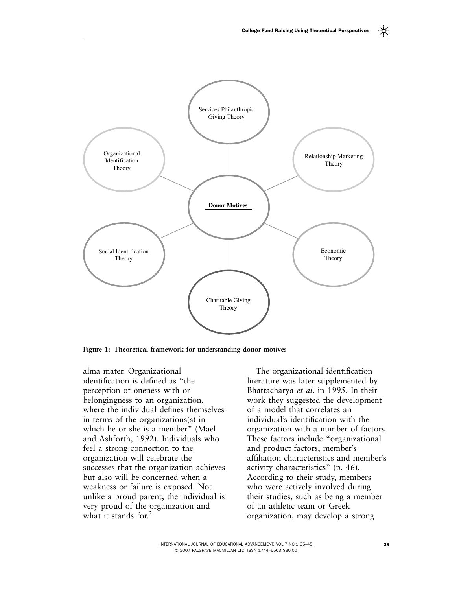

Figure 1: Theoretical framework for understanding donor motives

alma mater. Organizational identification is defined as "the perception of oneness with or belongingness to an organization, where the individual defines themselves in terms of the organizations(s) in which he or she is a member" (Mael and Ashforth, 1992). Individuals who feel a strong connection to the organization will celebrate the successes that the organization achieves but also will be concerned when a weakness or failure is exposed. Not unlike a proud parent, the individual is very proud of the organization and what it stands for. $3$ 

The organizational identification literature was later supplemented by Bhattacharya et al. in 1995. In their work they suggested the development of a model that correlates an individual's identification with the organization with a number of factors. These factors include "organizational" and product factors, member's affiliation characteristics and member's activity characteristics" (p. 46). According to their study, members who were actively involved during their studies, such as being a member of an athletic team or Greek organization, may develop a strong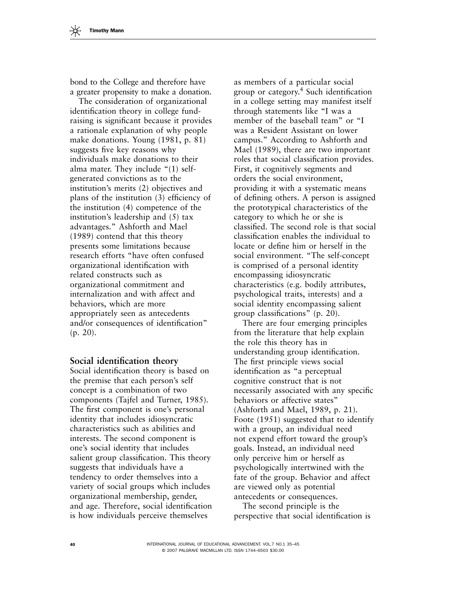bond to the College and therefore have a greater propensity to make a donation.

The consideration of organizational identification theory in college fundraising is significant because it provides a rationale explanation of why people make donations. Young (1981, p. 81) suggests five key reasons why individuals make donations to their alma mater. They include "(1) selfgenerated convictions as to the institution's merits (2) objectives and plans of the institution (3) efficiency of the institution (4) competence of the institution's leadership and  $(5)$  tax advantages. " Ashforth and Mael  $(1989)$  contend that this theory presents some limitations because research efforts "have often confused organizational identification with related constructs such as organizational commitment and internalization and with affect and behaviors, which are more appropriately seen as antecedents and/or consequences of identification" (p. 20).

#### **Social identification theory**

Social identification theory is based on the premise that each person's self concept is a combination of two components (Tajfel and Turner, 1985). The first component is one's personal identity that includes idiosyncratic characteristics such as abilities and interests. The second component is one's social identity that includes salient group classification. This theory suggests that individuals have a tendency to order themselves into a variety of social groups which includes organizational membership, gender, and age. Therefore, social identification is how individuals perceive themselves

as members of a particular social group or category.<sup>4</sup> Such identification in a college setting may manifest itself through statements like "I was a member of the baseball team" or "I was a Resident Assistant on lower campus." According to Ashforth and Mael (1989), there are two important roles that social classification provides. First, it cognitively segments and orders the social environment, providing it with a systematic means of defining others. A person is assigned the prototypical characteristics of the category to which he or she is classified. The second role is that social classifi cation enables the individual to locate or define him or herself in the social environment. "The self-concept is comprised of a personal identity encompassing idiosyncratic characteristics (e.g. bodily attributes, psychological traits, interests) and a social identity encompassing salient group classifications" (p. 20).

There are four emerging principles from the literature that help explain the role this theory has in understanding group identification. The first principle views social identification as "a perceptual cognitive construct that is not necessarily associated with any specific behaviors or affective states" (Ashforth and Mael, 1989, p. 21). Foote  $(1951)$  suggested that to identify with a group, an individual need not expend effort toward the group's goals. Instead, an individual need only perceive him or herself as psychologically intertwined with the fate of the group. Behavior and affect are viewed only as potential antecedents or consequences.

The second principle is the perspective that social identification is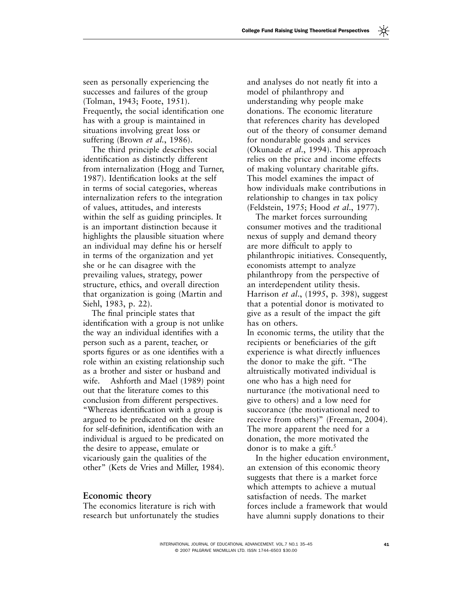seen as personally experiencing the successes and failures of the group (Tolman, 1943; Foote, 1951). Frequently, the social identification one has with a group is maintained in situations involving great loss or suffering (Brown *et al.*, 1986).

The third principle describes social identification as distinctly different from internalization (Hogg and Turner, 1987). Identification looks at the self in terms of social categories, whereas internalization refers to the integration of values, attitudes, and interests within the self as guiding principles. It is an important distinction because it highlights the plausible situation where an individual may define his or herself in terms of the organization and yet she or he can disagree with the prevailing values, strategy, power structure, ethics, and overall direction that organization is going ( Martin and Siehl, 1983, p. 22).

The final principle states that identification with a group is not unlike the way an individual identifies with a person such as a parent, teacher, or sports figures or as one identifies with a role within an existing relationship such as a brother and sister or husband and wife. Ashforth and Mael (1989) point out that the literature comes to this conclusion from different perspectives. "Whereas identification with a group is argued to be predicated on the desire for self-definition, identification with an individual is argued to be predicated on the desire to appease, emulate or vicariously gain the qualities of the other" (Kets de Vries and Miller, 1984).

#### **Economic theory**

The economics literature is rich with research but unfortunately the studies

and analyses do not neatly fit into a model of philanthropy and understanding why people make donations. The economic literature that references charity has developed out of the theory of consumer demand for nondurable goods and services (Okunade *et al.*, 1994). This approach relies on the price and income effects of making voluntary charitable gifts. This model examines the impact of how individuals make contributions in relationship to changes in tax policy ( Feldstein, 1975 ; Hood *et al*., 1977 ).

The market forces surrounding consumer motives and the traditional nexus of supply and demand theory are more difficult to apply to philanthropic initiatives. Consequently, economists attempt to analyze philanthropy from the perspective of an interdependent utility thesis. Harrison *et al*., (1995, p. 398), suggest that a potential donor is motivated to give as a result of the impact the gift has on others.

In economic terms, the utility that the recipients or beneficiaries of the gift experience is what directly influences the donor to make the gift. " The altruistically motivated individual is one who has a high need for nurturance (the motivational need to give to others) and a low need for succorance (the motivational need to receive from others)" (Freeman, 2004). The more apparent the need for a donation, the more motivated the donor is to make a gift.<sup>5</sup>

In the higher education environment, an extension of this economic theory suggests that there is a market force which attempts to achieve a mutual satisfaction of needs. The market forces include a framework that would have alumni supply donations to their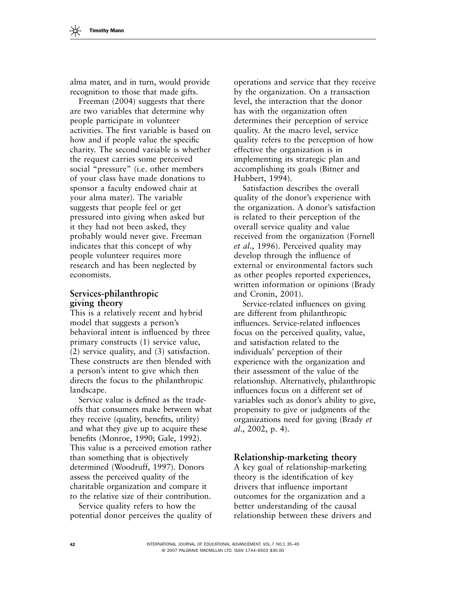alma mater, and in turn, would provide recognition to those that made gifts.

Freeman  $(2004)$  suggests that there are two variables that determine why people participate in volunteer activities. The first variable is based on how and if people value the specific charity. The second variable is whether the request carries some perceived social "pressure" (i.e. other members of your class have made donations to sponsor a faculty endowed chair at your alma mater). The variable suggests that people feel or get pressured into giving when asked but it they had not been asked, they probably would never give. Freeman indicates that this concept of why people volunteer requires more research and has been neglected by economists.

## **Services-philanthropic giving theory**

This is a relatively recent and hybrid model that suggests a person's behavioral intent is influenced by three primary constructs (1) service value, (2) service quality, and (3) satisfaction. These constructs are then blended with a person's intent to give which then directs the focus to the philanthropic landscape.

Service value is defined as the tradeoffs that consumers make between what they receive (quality, benefits, utility) and what they give up to acquire these benefits (Monroe, 1990; Gale, 1992). This value is a perceived emotion rather than something that is objectively determined (Woodruff, 1997). Donors assess the perceived quality of the charitable organization and compare it to the relative size of their contribution.

Service quality refers to how the potential donor perceives the quality of

operations and service that they receive by the organization. On a transaction level, the interaction that the donor has with the organization often determines their perception of service quality. At the macro level, service quality refers to the perception of how effective the organization is in implementing its strategic plan and accomplishing its goals ( Bitner and Hubbert, 1994).

Satisfaction describes the overall quality of the donor's experience with the organization. A donor's satisfaction is related to their perception of the overall service quality and value received from the organization (Fornell *et al.*, 1996). Perceived quality may develop through the influence of external or environmental factors such as other peoples reported experiences, written information or opinions (Brady and Cronin, 2001).

Service-related influences on giving are different from philanthropic influences. Service-related influences focus on the perceived quality, value, and satisfaction related to the individuals' perception of their experience with the organization and their assessment of the value of the relationship. Alternatively, philanthropic influences focus on a different set of variables such as donor's ability to give, propensity to give or judgments of the organizations need for giving ( Brady *et al.*, 2002, p. 4).

#### **Relationship-marketing theory**

A key goal of relationship-marketing theory is the identification of key drivers that influence important outcomes for the organization and a better understanding of the causal relationship between these drivers and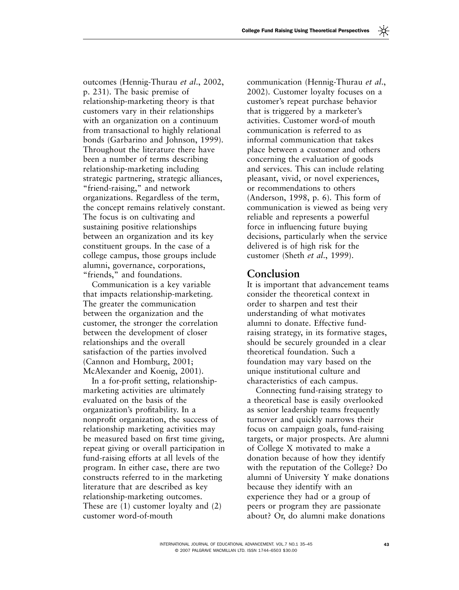outcomes ( Hennig-Thurau *et al*., 2002, p. 231). The basic premise of relationship-marketing theory is that customers vary in their relationships with an organization on a continuum from transactional to highly relational bonds (Garbarino and Johnson, 1999). Throughout the literature there have been a number of terms describing relationship-marketing including strategic partnering, strategic alliances, "friend-raising," and network organizations. Regardless of the term, the concept remains relatively constant. The focus is on cultivating and sustaining positive relationships between an organization and its key constituent groups. In the case of a college campus, those groups include alumni, governance, corporations, "friends," and foundations.

Communication is a key variable that impacts relationship-marketing. The greater the communication between the organization and the customer, the stronger the correlation between the development of closer relationships and the overall satisfaction of the parties involved (Cannon and Homburg, 2001; McAlexander and Koenig, 2001).

In a for-profit setting, relationshipmarketing activities are ultimately evaluated on the basis of the organization's profitability. In a nonprofit organization, the success of relationship marketing activities may be measured based on first time giving, repeat giving or overall participation in fund-raising efforts at all levels of the program. In either case, there are two constructs referred to in the marketing literature that are described as key relationship-marketing outcomes. These are (1) customer loyalty and (2) customer word-of-mouth

communication (Hennig-Thurau *et al.*, 2002 ). Customer loyalty focuses on a customer's repeat purchase behavior that is triggered by a marketer's activities. Customer word-of mouth communication is referred to as informal communication that takes place between a customer and others concerning the evaluation of goods and services. This can include relating pleasant, vivid, or novel experiences, or recommendations to others  $(Anderson, 1998, p. 6)$ . This form of communication is viewed as being very reliable and represents a powerful force in influencing future buying decisions, particularly when the service delivered is of high risk for the customer ( Sheth *et al*., 1999 ).

# **Conclusion**

It is important that advancement teams consider the theoretical context in order to sharpen and test their understanding of what motivates alumni to donate. Effective fundraising strategy, in its formative stages, should be securely grounded in a clear theoretical foundation. Such a foundation may vary based on the unique institutional culture and characteristics of each campus.

Connecting fund-raising strategy to a theoretical base is easily overlooked as senior leadership teams frequently turnover and quickly narrows their focus on campaign goals, fund-raising targets, or major prospects. Are alumni of College X motivated to make a donation because of how they identify with the reputation of the College? Do alumni of University Y make donations because they identify with an experience they had or a group of peers or program they are passionate about? Or, do alumni make donations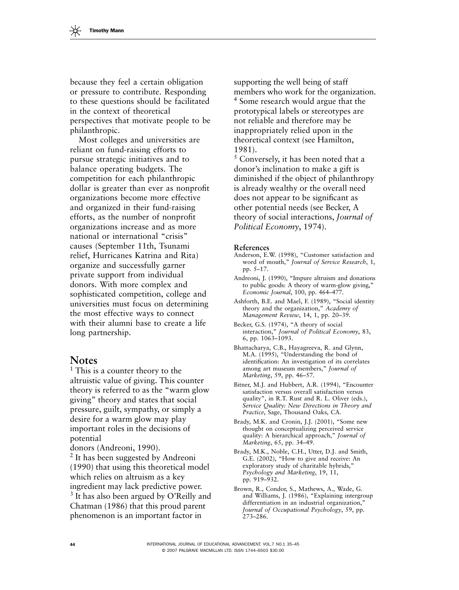because they feel a certain obligation or pressure to contribute. Responding to these questions should be facilitated in the context of theoretical perspectives that motivate people to be philanthropic.

Most colleges and universities are reliant on fund-raising efforts to pursue strategic initiatives and to balance operating budgets. The competition for each philanthropic dollar is greater than ever as nonprofit organizations become more effective and organized in their fund-raising efforts, as the number of nonprofit organizations increase and as more national or international " crisis " causes (September 11th, Tsunami relief, Hurricanes Katrina and Rita) organize and successfully garner private support from individual donors. With more complex and sophisticated competition, college and universities must focus on determining the most effective ways to connect with their alumni base to create a life long partnership.

## **Notes**

 $<sup>1</sup>$  This is a counter theory to the</sup> altruistic value of giving. This counter theory is referred to as the " warm glow giving" theory and states that social pressure, guilt, sympathy, or simply a desire for a warm glow may play important roles in the decisions of potential

donors (Andreoni, 1990).

<sup>2</sup> It has been suggested by Andreoni  $(1990)$  that using this theoretical model which relies on altruism as a key ingredient may lack predictive power.  $3$  It has also been argued by O'Reilly and Chatman  $(1986)$  that this proud parent phenomenon is an important factor in

supporting the well being of staff members who work for the organization. <sup>4</sup> Some research would argue that the prototypical labels or stereotypes are not reliable and therefore may be inappropriately relied upon in the theoretical context (see Hamilton, 1981).<br><sup>5</sup> Conversely, it has been noted that a

donor's inclination to make a gift is diminished if the object of philanthropy is already wealthy or the overall need does not appear to be significant as other potential needs (see Becker, A theory of social interactions, *Journal of Political Economy*, 1974).

#### **References**

- Anderson, E.W. (1998), "Customer satisfaction and word of mouth," *Journal of Service Research*, 1, pp. 5–17.
- Andreoni, J. (1990), "Impure altruism and donations to public goods: A theory of warm-glow giving," *Economic Journal*, 100, pp. 464-477.
- Ashforth, B.E. and Mael, F. (1989), "Social identity theory and the organization," Academy of *Management Review*, 14, 1, pp. 20-39.
- Becker, G.S. (1974), "A theory of social interaction," *Journal of Political Economy*, 83, 6, pp. 1063-1093.
- Bhattacharya, C.B., Hayagreeva, R. and Glynn, M.A. (1995), "Understanding the bond of identification: An investigation of its correlates among art museum members," Journal of *Marketing*, 59, pp. 46–57.
- Bitner, M.J. and Hubbert, A.R. (1994), "Encounter satisfaction versus overall satisfaction versus quality", in R.T. Rust and R. L. Oliver (eds.), *Service Quality: New Directions in Theory and*  Practice, Sage, Thousand Oaks, CA.
- Brady, M.K. and Cronin, J.J. (2001), "Some new thought on conceptualizing perceived service quality: A hierarchical approach," Journal of *Marketing*, 65, pp. 34-49.
- Brady, M.K., Noble, C.H., Utter, D.J. and Smith, G.E. (2002), "How to give and receive: An exploratory study of charitable hybrids," Psychology and Marketing, 19, 11, pp. 919-932.
- Brown, R., Condor, S., Mathews, A., Wade, G. and Williams, J. (1986), "Explaining intergroup differentiation in an industrial organization," *Journal of Occupational Psychology*, 59 , pp. 273-286.